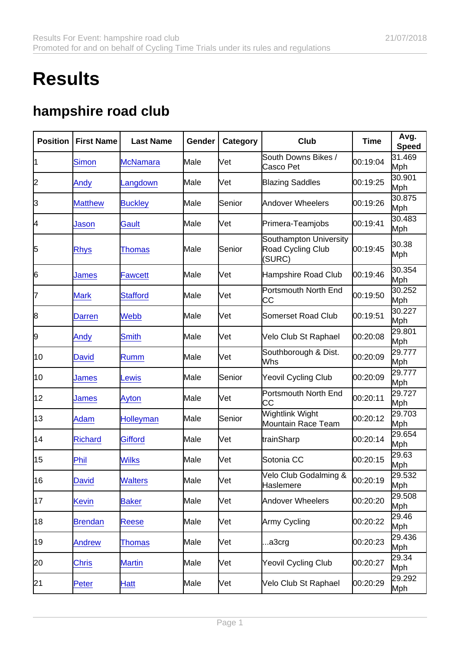## **Results**

## hampshire road club

| Position | <b>First Name</b> | Last Name        | Gender | Category | Club                                                  | Time     | Avg.<br>Speed |
|----------|-------------------|------------------|--------|----------|-------------------------------------------------------|----------|---------------|
| 11       | <b>Simon</b>      | <b>McNamara</b>  | Male   | Vet      | South Downs Bikes /<br>Casco Pet                      | 00:19:04 | 31.469<br>Mph |
| 2        | Andy              | Langdown         | Male   | Vet      | <b>Blazing Saddles</b>                                | 00:19:25 | 30.901<br>Mph |
| З        | <b>Matthew</b>    | <b>Buckley</b>   | Male   | Senior   | <b>Andover Wheelers</b>                               | 00:19:26 | 30.875<br>Mph |
| 4        | Jason             | Gault            | Male   | Vet      | Primera-Teamjobs                                      | 00:19:41 | 30.483<br>Mph |
| 5        | <b>Rhys</b>       | Thomas           | Male   | Senior   | Southampton University<br>Road Cycling Club<br>(SURC) | 00:19:45 | 30.38<br>Mph  |
| 6        | James             | Fawcett          | Male   | Vet      | Hampshire Road Club                                   | 00:19:46 | 30.354<br>Mph |
| 7        | <b>Mark</b>       | Stafford         | Male   | Vet      | Portsmouth North End<br>СC                            | 00:19:50 | 30.252<br>Mph |
| 8        | <b>Darren</b>     | Webb             | Male   | Vet      | <b>Somerset Road Club</b>                             | 00:19:51 | 30.227<br>Mph |
| 9        | Andy              | Smith            | Male   | Vet      | Velo Club St Raphael                                  | 00:20:08 | 29.801<br>Mph |
| 10       | David             | <b>Rumm</b>      | Male   | Vet      | Southborough & Dist.<br>Whs                           | 00:20:09 | 29.777<br>Mph |
| 10       | James             | Lewis            | Male   | Senior   | Yeovil Cycling Club                                   | 00:20:09 | 29.777<br>Mph |
| 12       | James             | Ayton            | Male   | Vet      | Portsmouth North End<br>CC                            | 00:20:11 | 29.727<br>Mph |
| 13       | Adam              | <b>Holleyman</b> | Male   | Senior   | Wightlink Wight<br>Mountain Race Team                 | 00:20:12 | 29.703<br>Mph |
| 14       | <b>Richard</b>    | <b>Gifford</b>   | Male   | Vet      | trainSharp                                            | 00:20:14 | 29.654<br>Mph |
| 15       | Phil              | Wilks            | Male   | Vet      | Sotonia CC                                            | 00:20:15 | 29.63<br>Mph  |
| 16       | David             | Walters          | Male   | Vet      | Velo Club Godalming &<br>Haslemere                    | 00:20:19 | 29.532<br>Mph |
| 17       | <b>Kevin</b>      | <b>Baker</b>     | Male   | Vet      | <b>Andover Wheelers</b>                               | 00:20:20 | 29.508<br>Mph |
| 18       | <b>Brendan</b>    | <b>Reese</b>     | Male   | Vet      | Army Cycling                                          | 00:20:22 | 29.46<br>Mph  |
| 19       | <b>Andrew</b>     | <b>Thomas</b>    | Male   | Vet      | a3crg                                                 | 00:20:23 | 29.436<br>Mph |
| 20       | <b>Chris</b>      | <b>Martin</b>    | Male   | Vet      | Yeovil Cycling Club                                   | 00:20:27 | 29.34<br>Mph  |
| 21       | Peter             | Hatt             | Male   | Vet      | Velo Club St Raphael                                  | 00:20:29 | 29.292<br>Mph |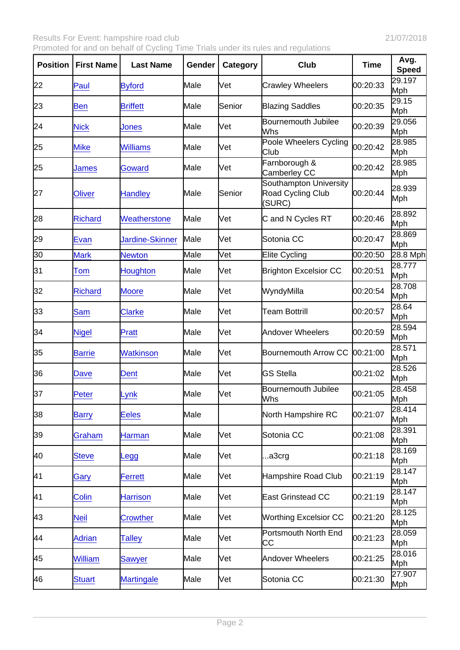| Position | <b>First Name</b> | Last Name         | Gender | Category | Club                                                  | Time     | Avg.<br>Speed |
|----------|-------------------|-------------------|--------|----------|-------------------------------------------------------|----------|---------------|
| 22       | Paul              | <b>Byford</b>     | Male   | Vet      | <b>Crawley Wheelers</b>                               | 00:20:33 | 29.197<br>Mph |
| 23       | <b>Ben</b>        | <b>Briffett</b>   | Male   | Senior   | <b>Blazing Saddles</b>                                | 00:20:35 | 29.15<br>Mph  |
| 24       | <b>Nick</b>       | Jones             | Male   | Vet      | <b>Bournemouth Jubilee</b><br>Whs                     | 00:20:39 | 29.056<br>Mph |
| 25       | <b>Mike</b>       | <b>Williams</b>   | Male   | Vet      | Poole Wheelers Cycling<br>Club                        | 00:20:42 | 28.985<br>Mph |
| 25       | James             | Goward            | Male   | Vet      | Farnborough &<br>Camberley CC                         | 00:20:42 | 28.985<br>Mph |
| 27       | Oliver            | <b>Handley</b>    | Male   | Senior   | Southampton University<br>Road Cycling Club<br>(SURC) | 00:20:44 | 28.939<br>Mph |
| 28       | <b>Richard</b>    | Weatherstone      | Male   | Vet      | C and N Cycles RT                                     | 00:20:46 | 28.892<br>Mph |
| 29       | Evan              | Jardine-Skinner   | Male   | Vet      | Sotonia CC                                            | 00:20:47 | 28.869<br>Mph |
| 30       | <b>Mark</b>       | <b>Newton</b>     | Male   | Vet      | <b>Elite Cycling</b>                                  | 00:20:50 | 28.8 Mph      |
| 31       | Tom               | Houghton          | Male   | Vet      | <b>Brighton Excelsior CC</b>                          | 00:20:51 | 28.777<br>Mph |
| 32       | <b>Richard</b>    | <b>Moore</b>      | Male   | Vet      | WyndyMilla                                            | 00:20:54 | 28.708<br>Mph |
| 33       | <b>Sam</b>        | <b>Clarke</b>     | Male   | Vet      | <b>Team Bottrill</b>                                  | 00:20:57 | 28.64<br>Mph  |
| 34       | <b>Nigel</b>      | Pratt             | Male   | Vet      | <b>Andover Wheelers</b>                               | 00:20:59 | 28.594<br>Mph |
| 35       | <b>Barrie</b>     | <b>Watkinson</b>  | Male   | Vet      | <b>Bournemouth Arrow CC</b>                           | 00:21:00 | 28.571<br>Mph |
| 36       | Dave              | Dent              | Male   | Vet      | <b>GS Stella</b>                                      | 00:21:02 | 28.526<br>Mph |
| 37       | Peter             | Lynk              | Male   | Vet      | <b>Bournemouth Jubilee</b><br>Whs                     | 00:21:05 | 28.458<br>Mph |
| 38       | <b>Barry</b>      | <b>Eeles</b>      | Male   |          | North Hampshire RC                                    | 00:21:07 | 28.414<br>Mph |
| 39       | Graham            | Harman            | Male   | Vet      | Sotonia CC                                            | 00:21:08 | 28.391<br>Mph |
| 40       | <b>Steve</b>      | _egg              | Male   | Vet      | a3crg                                                 | 00:21:18 | 28.169<br>Mph |
| 41       | Gary              | <b>Ferrett</b>    | Male   | Vet      | Hampshire Road Club                                   | 00:21:19 | 28.147<br>Mph |
| 41       | Colin             | <b>Harrison</b>   | Male   | Vet      | <b>East Grinstead CC</b>                              | 00:21:19 | 28.147<br>Mph |
| 43       | <b>Neil</b>       | <b>Crowther</b>   | Male   | Vet      | <b>Worthing Excelsior CC</b>                          | 00:21:20 | 28.125<br>Mph |
| 44       | <b>Adrian</b>     | <b>Talley</b>     | Male   | Vet      | Portsmouth North End<br>СC                            | 00:21:23 | 28.059<br>Mph |
| 45       | William           | Sawyer            | Male   | Vet      | <b>Andover Wheelers</b>                               | 00:21:25 | 28.016<br>Mph |
| 46       | <b>Stuart</b>     | <b>Martingale</b> | Male   | Vet      | Sotonia CC                                            | 00:21:30 | 27.907<br>Mph |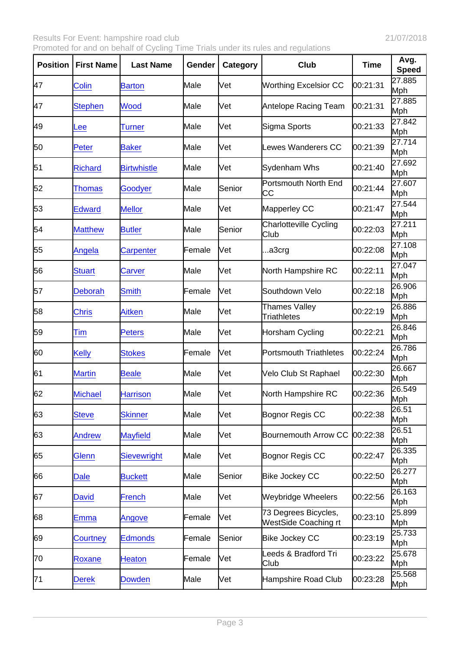| Position | <b>First Name</b> | Last Name          | Gender         | Category | Club                                         | Time     | Avg.<br>Speed |
|----------|-------------------|--------------------|----------------|----------|----------------------------------------------|----------|---------------|
| 47       | Colin             | <b>Barton</b>      | Male           | Vet      | <b>Worthing Excelsior CC</b>                 | 00:21:31 | 27.885<br>Mph |
| 47       | <b>Stephen</b>    | Wood               | Male           | Vet      | Antelope Racing Team                         | 00:21:31 | 27.885<br>Mph |
| 49       | Lee               | Turner             | Male           | Vet      | Sigma Sports                                 | 00:21:33 | 27.842<br>Mph |
| 50       | Peter             | <b>Baker</b>       | Male           | Vet      | <b>Lewes Wanderers CC</b>                    | 00:21:39 | 27.714<br>Mph |
| 51       | <b>Richard</b>    | <b>Birtwhistle</b> | Male           | Vet      | Sydenham Whs                                 | 00:21:40 | 27.692<br>Mph |
| 52       | Thomas            | Goodyer            | Male           | Senior   | Portsmouth North End<br>IСC                  | 00:21:44 | 27.607<br>Mph |
| 53       | <b>Edward</b>     | <b>Mellor</b>      | Male           | Vet      | Mapperley CC                                 | 00:21:47 | 27.544<br>Mph |
| 54       | <b>Matthew</b>    | <b>Butler</b>      | Male           | Senior   | <b>Charlotteville Cycling</b><br>Club        | 00:22:03 | 27.211<br>Mph |
| 55       | Angela            | Carpenter          | Female         | Vet      | a3crg                                        | 00:22:08 | 27.108<br>Mph |
| 56       | <b>Stuart</b>     | Carver             | Male           | Vet      | North Hampshire RC                           | 00:22:11 | 27.047<br>Mph |
| 57       | Deborah           | Smith              | Female         | Vet      | Southdown Velo                               | 00:22:18 | 26.906<br>Mph |
| 58       | <b>Chris</b>      | <b>Aitken</b>      | Male           | Vet      | Thames Valley<br>Triathletes                 | 00:22:19 | 26.886<br>Mph |
| 59       | Tim               | Peters             | Male           | Vet      | Horsham Cycling                              | 00:22:21 | 26.846<br>Mph |
| 60       | <b>Kelly</b>      | <b>Stokes</b>      | Female         | Vet      | <b>Portsmouth Triathletes</b>                | 00:22:24 | 26.786<br>Mph |
| 61       | <b>Martin</b>     | <b>Beale</b>       | Male           | Vet      | Velo Club St Raphael                         | 00:22:30 | 26.667<br>Mph |
| 62       | Michael           | <b>Harrison</b>    | Male           | Vet      | North Hampshire RC                           | 00:22:36 | 26.549<br>Mph |
| 63       | <b>Steve</b>      | <b>Skinner</b>     | Male           | Vet      | Bognor Regis CC                              | 00:22:38 | 26.51<br>Mph  |
| 63       | <b>Andrew</b>     | <b>Mayfield</b>    | Male           | Vet      | Bournemouth Arrow CC                         | 00:22:38 | 26.51<br>Mph  |
| 65       | Glenn             | <b>Sievewright</b> | Male           | Vet      | Bognor Regis CC                              | 00:22:47 | 26.335<br>Mph |
| 66       | <b>Dale</b>       | <b>Buckett</b>     | Male           | Senior   | <b>Bike Jockey CC</b>                        | 00:22:50 | 26.277<br>Mph |
| 67       | David             | <b>French</b>      | Male           | Vet      | <b>Weybridge Wheelers</b>                    | 00:22:56 | 26.163<br>Mph |
| 68       | Emma              | Angove             | Female         | Vet      | 73 Degrees Bicycles,<br>WestSide Coaching rt | 00:23:10 | 25.899<br>Mph |
| 69       | Courtney          | <b>Edmonds</b>     | <b> Female</b> | Senior   | <b>Bike Jockey CC</b>                        | 00:23:19 | 25.733<br>Mph |
| 70       | Roxane            | <b>Heaton</b>      | Female         | Vet      | Leeds & Bradford Tri<br>Club                 | 00:23:22 | 25.678<br>Mph |
| 71       | <b>Derek</b>      | <b>Dowden</b>      | Male           | Vet      | Hampshire Road Club                          | 00:23:28 | 25.568<br>Mph |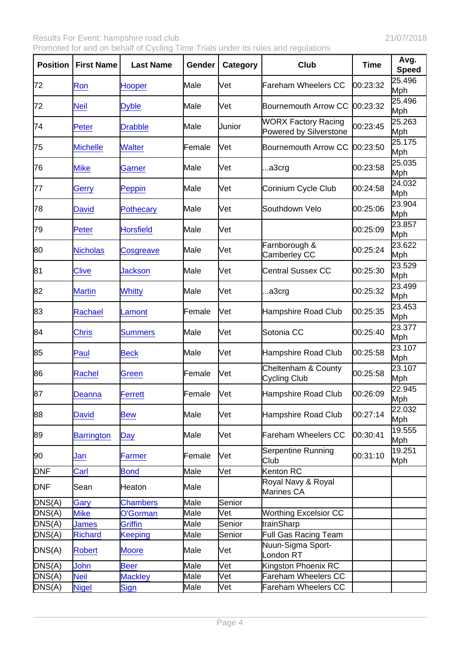| Position   | <b>First Name</b> | Last Name        | Gender  | Category | Club                                                 | Time     | Avg.<br>Speed |
|------------|-------------------|------------------|---------|----------|------------------------------------------------------|----------|---------------|
| 72         | Ron               | Hooper           | Male    | Vet      | Fareham Wheelers CC                                  | 00:23:32 | 25.496<br>Mph |
| 72         | <b>Neil</b>       | <b>Dyble</b>     | Male    | Vet      | Bournemouth Arrow CC                                 | 00:23:32 | 25.496<br>Mph |
| 74         | Peter             | <b>Drabble</b>   | Male    | Junior   | <b>WORX Factory Racing</b><br>Powered by Silverstone | 00:23:45 | 25.263<br>Mph |
| 75         | <b>Michelle</b>   | <b>Walter</b>    | Female  | Vet      | Bournemouth Arrow CC                                 | 00:23:50 | 25.175<br>Mph |
| 76         | <b>Mike</b>       | Garner           | Male    | Vet      | a3crg                                                | 00:23:58 | 25.035<br>Mph |
| 77         | Gerry             | Peppin           | Male    | Vet      | Corinium Cycle Club                                  | 00:24:58 | 24.032<br>Mph |
| 78         | David             | <b>Pothecary</b> | Male    | Vet      | Southdown Velo                                       | 00:25:06 | 23.904<br>Mph |
| 79         | Peter             | <b>Horsfield</b> | Male    | Vet      |                                                      | 00:25:09 | 23.857<br>Mph |
| 80         | <b>Nicholas</b>   | Cosgreave        | Male    | Vet      | Farnborough &<br>Camberley CC                        | 00:25:24 | 23.622<br>Mph |
| 81         | <b>Clive</b>      | <b>Jackson</b>   | Male    | Vet      | <b>Central Sussex CC</b>                             | 00:25:30 | 23.529<br>Mph |
| 82         | <b>Martin</b>     | <b>Whitty</b>    | Male    | Vet      | a3crg                                                | 00:25:32 | 23.499<br>Mph |
| 83         | Rachael           | Lamont           | Female  | Vet      | <b>Hampshire Road Club</b>                           | 00:25:35 | 23.453<br>Mph |
| 84         | <b>Chris</b>      | <b>Summers</b>   | Male    | Vet      | Sotonia CC                                           | 00:25:40 | 23.377<br>Mph |
| 85         | Paul              | <b>Beck</b>      | Male    | Vet      | Hampshire Road Club                                  | 00:25:58 | 23.107<br>Mph |
| 86         | Rachel            | Green            | lFemale | Vet      | Cheltenham & County<br><b>Cycling Club</b>           | 00:25:58 | 23.107<br>Mph |
| 87         | Deanna            | <b>Ferrett</b>   | Female  | Vet      | Hampshire Road Club                                  | 00:26:09 | 22.945<br>Mph |
| 88         | David             | <b>Bew</b>       | Male    | Vet      | Hampshire Road Club                                  | 00:27:14 | 22.032<br>Mph |
| 89         | <b>Barrington</b> | Day              | Male    | Vet      | <b>Fareham Wheelers CC</b>                           | 00:30:41 | 19.555<br>Mph |
| 90         | Jan               | <b>Farmer</b>    | Female  | Vet      | Serpentine Running<br>Club                           | 00:31:10 | 19.251<br>Mph |
| DNF        | Carl              | <b>Bond</b>      | Male    | Vet      | Kenton RC                                            |          |               |
| <b>DNF</b> | Sean              | Heaton           | Male    |          | Royal Navy & Royal<br>Marines CA                     |          |               |
| DNS(A)     | Gary              | <b>Chambers</b>  | Male    | Senior   |                                                      |          |               |
| DNS(A)     | <b>Mike</b>       | O'Gorman         | Male    | Vet      | <b>Worthing Excelsior CC</b>                         |          |               |
| DNS(A)     | <b>James</b>      | <b>Griffin</b>   | Male    | Senior   | trainSharp                                           |          |               |
| DNS(A)     | <b>Richard</b>    | Keeping          | Male    | Senior   | Full Gas Racing Team                                 |          |               |
| DNS(A)     | <b>Robert</b>     | <b>Moore</b>     | Male    | Vet      | Nuun-Sigma Sport-<br>London RT                       |          |               |
| DNS(A)     | John              | <b>Beer</b>      | Male    | Vet      | Kingston Phoenix RC                                  |          |               |
| DNS(A)     | <b>Neil</b>       | <b>Mackley</b>   | Male    | Vet      | <b>Fareham Wheelers CC</b>                           |          |               |
| DNS(A)     | <b>Nigel</b>      | Sign             | Male    | Vet      | <b>Fareham Wheelers CC</b>                           |          |               |